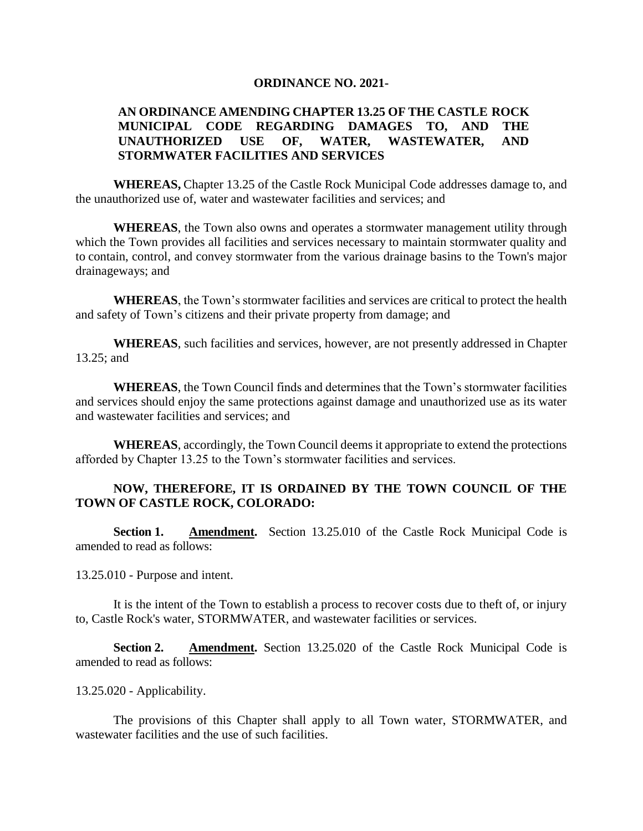## **ORDINANCE NO. 2021-**

## **AN ORDINANCE AMENDING CHAPTER 13.25 OF THE CASTLE ROCK MUNICIPAL CODE REGARDING DAMAGES TO, AND THE UNAUTHORIZED USE OF, WATER, WASTEWATER, AND STORMWATER FACILITIES AND SERVICES**

**WHEREAS,** Chapter 13.25 of the Castle Rock Municipal Code addresses damage to, and the unauthorized use of, water and wastewater facilities and services; and

**WHEREAS**, the Town also owns and operates a stormwater management utility through which the Town provides all facilities and services necessary to maintain stormwater quality and to contain, control, and convey stormwater from the various drainage basins to the Town's major drainageways; and

**WHEREAS**, the Town's stormwater facilities and services are critical to protect the health and safety of Town's citizens and their private property from damage; and

**WHEREAS**, such facilities and services, however, are not presently addressed in Chapter 13.25; and

**WHEREAS**, the Town Council finds and determines that the Town's stormwater facilities and services should enjoy the same protections against damage and unauthorized use as its water and wastewater facilities and services; and

**WHEREAS**, accordingly, the Town Council deems it appropriate to extend the protections afforded by Chapter 13.25 to the Town's stormwater facilities and services.

## **NOW, THEREFORE, IT IS ORDAINED BY THE TOWN COUNCIL OF THE TOWN OF CASTLE ROCK, COLORADO:**

**Section 1. Amendment.** Section 13.25.010 of the Castle Rock Municipal Code is amended to read as follows:

13.25.010 - Purpose and intent.

It is the intent of the Town to establish a process to recover costs due to theft of, or injury to, Castle Rock's water, STORMWATER, and wastewater facilities or services.

**Section 2. Amendment.** Section 13.25.020 of the Castle Rock Municipal Code is amended to read as follows:

13.25.020 - Applicability.

The provisions of this Chapter shall apply to all Town water, STORMWATER, and wastewater facilities and the use of such facilities.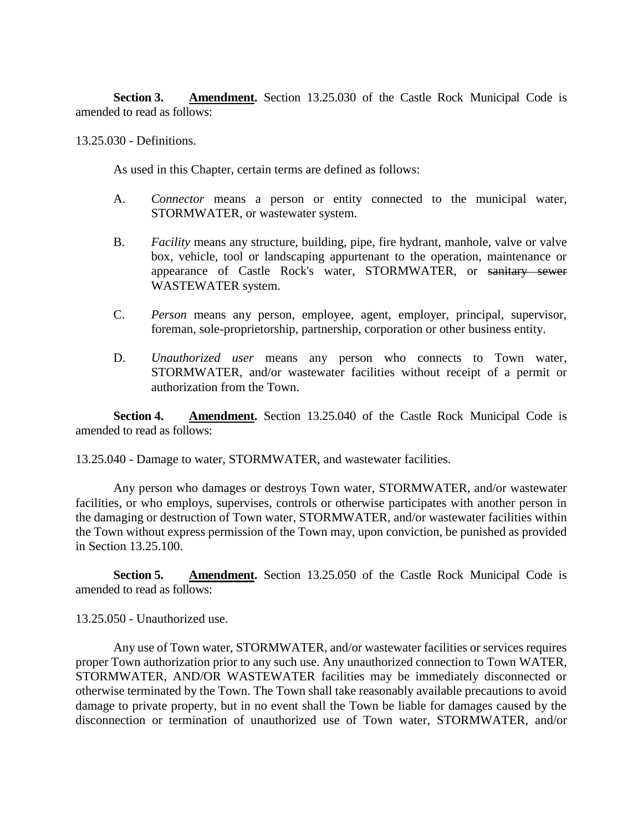**Section 3. Amendment.** Section 13.25.030 of the Castle Rock Municipal Code is amended to read as follows:

13.25.030 - Definitions.

As used in this Chapter, certain terms are defined as follows:

- A. *Connector* means a person or entity connected to the municipal water, STORMWATER, or wastewater system.
- B. *Facility* means any structure, building, pipe, fire hydrant, manhole, valve or valve box, vehicle, tool or landscaping appurtenant to the operation, maintenance or appearance of Castle Rock's water, STORMWATER, or sanitary sewer WASTEWATER system.
- C. *Person* means any person, employee, agent, employer, principal, supervisor, foreman, sole-proprietorship, partnership, corporation or other business entity.
- D. *Unauthorized user* means any person who connects to Town water, STORMWATER, and/or wastewater facilities without receipt of a permit or authorization from the Town.

**Section 4. Amendment.** Section 13.25.040 of the Castle Rock Municipal Code is amended to read as follows:

13.25.040 - Damage to water, STORMWATER, and wastewater facilities.

Any person who damages or destroys Town water, STORMWATER, and/or wastewater facilities, or who employs, supervises, controls or otherwise participates with another person in the damaging or destruction of Town water, STORMWATER, and/or wastewater facilities within the Town without express permission of the Town may, upon conviction, be punished as provided in Section 13.25.100.

**Section 5. Amendment.** Section 13.25.050 of the Castle Rock Municipal Code is amended to read as follows:

13.25.050 - Unauthorized use.

Any use of Town water, STORMWATER, and/or wastewater facilities or services requires proper Town authorization prior to any such use. Any unauthorized connection to Town WATER, STORMWATER, AND/OR WASTEWATER facilities may be immediately disconnected or otherwise terminated by the Town. The Town shall take reasonably available precautions to avoid damage to private property, but in no event shall the Town be liable for damages caused by the disconnection or termination of unauthorized use of Town water, STORMWATER, and/or